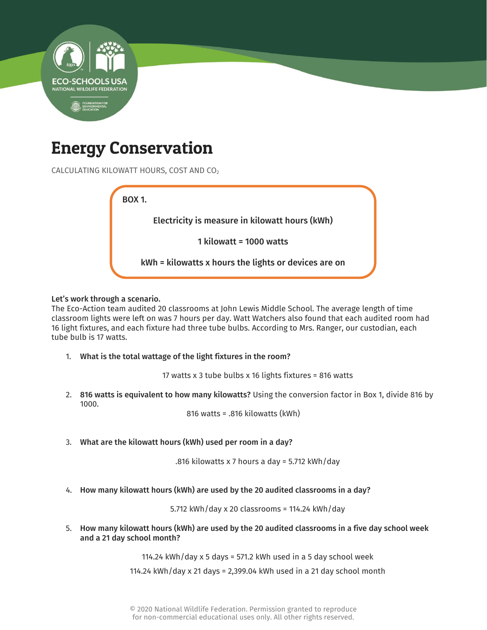

## Energy Conservation

CALCULATING KILOWATT HOURS, COST AND CO<sup>2</sup>



## Let's work through a scenario.

The Eco-Action team audited 20 classrooms at John Lewis Middle School. The average length of time classroom lights were left on was 7 hours per day. Watt Watchers also found that each audited room had 16 light fixtures, and each fixture had three tube bulbs. According to Mrs. Ranger, our custodian, each tube bulb is 17 watts.

1. What is the total wattage of the light fixtures in the room?

17 watts x 3 tube bulbs x 16 lights fixtures = 816 watts

2. 816 watts is equivalent to how many kilowatts? Using the conversion factor in Box 1, divide 816 by 1000.

816 watts = .816 kilowatts (kWh)

3. What are the kilowatt hours (kWh) used per room in a day?

.816 kilowatts x 7 hours a day = 5.712 kWh/day

4. How many kilowatt hours (kWh) are used by the 20 audited classrooms in a day?

5.712 kWh/day x 20 classrooms = 114.24 kWh/day

5. How many kilowatt hours (kWh) are used by the 20 audited classrooms in a five day school week and a 21 day school month?

114.24 kWh/day x 5 days = 571.2 kWh used in a 5 day school week

114.24 kWh/day x 21 days = 2,399.04 kWh used in a 21 day school month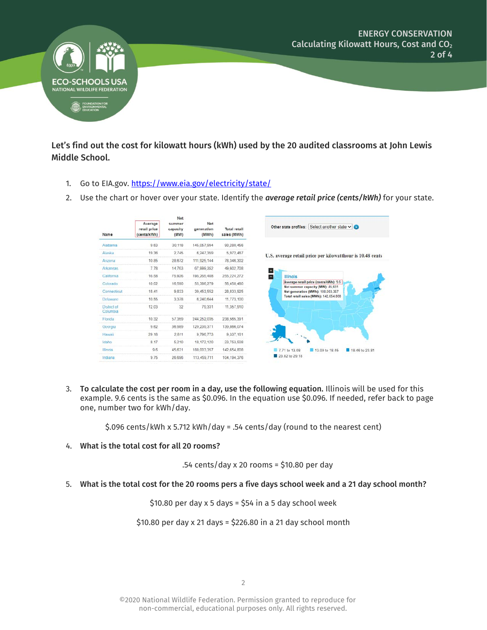

Let's find out the cost for kilowatt hours (kWh) used by the 20 audited classrooms at John Lewis Middle School.

- 1. Go to EIA.gov.<https://www.eia.gov/electricity/state/>
- 2. Use the chart or hover over your state. Identify the *average retail price (cents/kWh)* for your state.

|                         |                                        | Net<br>summer<br>capacity<br>(MW) | Net<br>generation<br>(MWh) | <b>Total retail</b><br>sales (MWh) |                                                                           |  |  |
|-------------------------|----------------------------------------|-----------------------------------|----------------------------|------------------------------------|---------------------------------------------------------------------------|--|--|
| Name                    | Average<br>retail price<br>(cents/kWh) |                                   |                            |                                    | Other state profiles: Select another state $\vee$                         |  |  |
| Alabama                 | 9.63                                   | 30.118                            | 145,057,994                | 90.280.456                         |                                                                           |  |  |
| Alaska                  | 19.36                                  | 2,745                             | 6.247.359                  | 5,972,467                          | U.S. average retail price per kilowatthour is 10.48 cents                 |  |  |
| Arizona                 | 10.85                                  | 28,672                            | 111.925.144                | 78.346.302                         |                                                                           |  |  |
| Arkansas.               | 7.78                                   | 14,763                            | 67,999,352                 | 49,602,708                         | $\pm$                                                                     |  |  |
| California              | 16.58                                  | 75,926                            | 195,265,408                | 255, 224, 272                      | $\overline{a}$<br><b>Illinois</b>                                         |  |  |
| Colorado                | 10 02                                  | 16,590                            | 55,386,279                 | 56,450,480                         | Average retail price (cents/kWh): 9.6<br>Net summer capacity (MW): 45,631 |  |  |
| Connecticut             | 18.41                                  | 9.833                             | 39,453,552                 | 28,833,925                         | Net generation (MWh): 188,003.357                                         |  |  |
| <b>Delaware</b>         | 10.55                                  | 3.378                             | 6,240,644                  | 11,773,100                         | Total retail sales (MWh): 142.654.808                                     |  |  |
| District of<br>Columbia | 12.03                                  | 32                                | 79.331                     | 11,357,910                         |                                                                           |  |  |
| Florida                 | 10.32                                  | 57.359                            | 244,252,035                | 238,565,391                        |                                                                           |  |  |
| Georgia                 | 9.62                                   | 36,989                            | 129,239,371                | 139,866,074                        |                                                                           |  |  |
| Hawaii                  | 29.18                                  | 2.811                             | 9,796,773                  | 9,337,161                          |                                                                           |  |  |
| Idaho                   | 8.17                                   | 5,210                             | 18, 172, 120               | 23,753,508                         |                                                                           |  |  |
| <b>Illinois</b>         | 9.6                                    | 45,631                            | 188,003,357                | 142.654.808                        | 7.71 to 13.08<br>13.09 to 18.45<br>18.46 to 23.81                         |  |  |
| Indiana                 | 9.75                                   | 26,696                            | 113,459,711                | 104.194.376                        | 23.82 to 29.18                                                            |  |  |
|                         |                                        |                                   |                            |                                    |                                                                           |  |  |

3. To calculate the cost per room in a day, use the following equation. Illinois will be used for this example. 9.6 cents is the same as \$0.096. In the equation use \$0.096. If needed, refer back to page one, number two for kWh/day.

\$.096 cents/kWh x 5.712 kWh/day = .54 cents/day (round to the nearest cent)

4. What is the total cost for all 20 rooms?

.54 cents/day x 20 rooms = \$10.80 per day

5. What is the total cost for the 20 rooms pers a five days school week and a 21 day school month?

 $$10.80$  per day x 5 days =  $$54$  in a 5 day school week

\$10.80 per day x 21 days = \$226.80 in a 21 day school month

©2020 National Wildlife Federation. Permission granted to reproduce for non-commercial, educational purposes only. All rights reserved.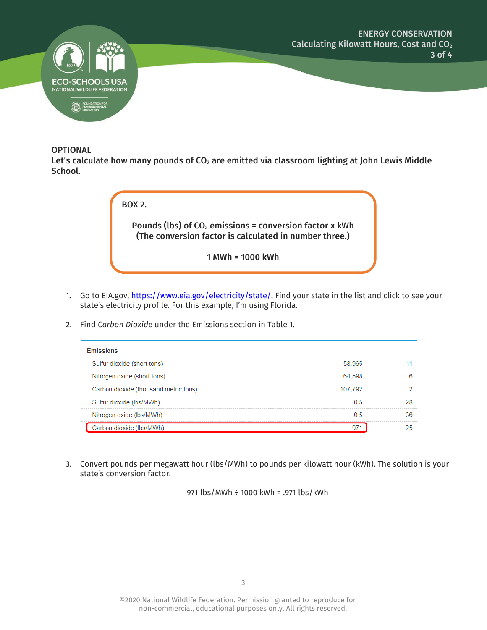

## **OPTIONAL**

Let's calculate how many pounds of  $CO<sub>2</sub>$  are emitted via classroom lighting at John Lewis Middle School.

| <b>BOX 2.</b>                                                                                                       |
|---------------------------------------------------------------------------------------------------------------------|
| Pounds (lbs) of $CO2$ emissions = conversion factor x kWh<br>(The conversion factor is calculated in number three.) |
| 1 MWh = 1000 kWh                                                                                                    |

- 1. Go to EIA.gov, [https://www.eia.gov/electricity/state/.](https://www.eia.gov/electricity/state/) Find your state in the list and click to see your state's electricity profile. For this example, I'm using Florida.
- 2. Find *Carbon Dioxide* under the Emissions section in Table 1.

| <b>Emissions</b>                      |         |  |  |  |  |  |  |
|---------------------------------------|---------|--|--|--|--|--|--|
| Sulfur dioxide (short tons)           | 58.965  |  |  |  |  |  |  |
| Nitrogen oxide (short tons)           | 64 598  |  |  |  |  |  |  |
| Carbon dioxide (thousand metric tons) | 107.792 |  |  |  |  |  |  |
| Sulfur dioxide (lbs/MWh)              | 05      |  |  |  |  |  |  |
| Nitrogen oxide (lbs/MWh)              |         |  |  |  |  |  |  |
| Carbon dioxide (lbs/MWh)              |         |  |  |  |  |  |  |

3. Convert pounds per megawatt hour (lbs/MWh) to pounds per kilowatt hour (kWh). The solution is your state's conversion factor.

971 lbs/MWh ÷ 1000 kWh = .971 lbs/kWh